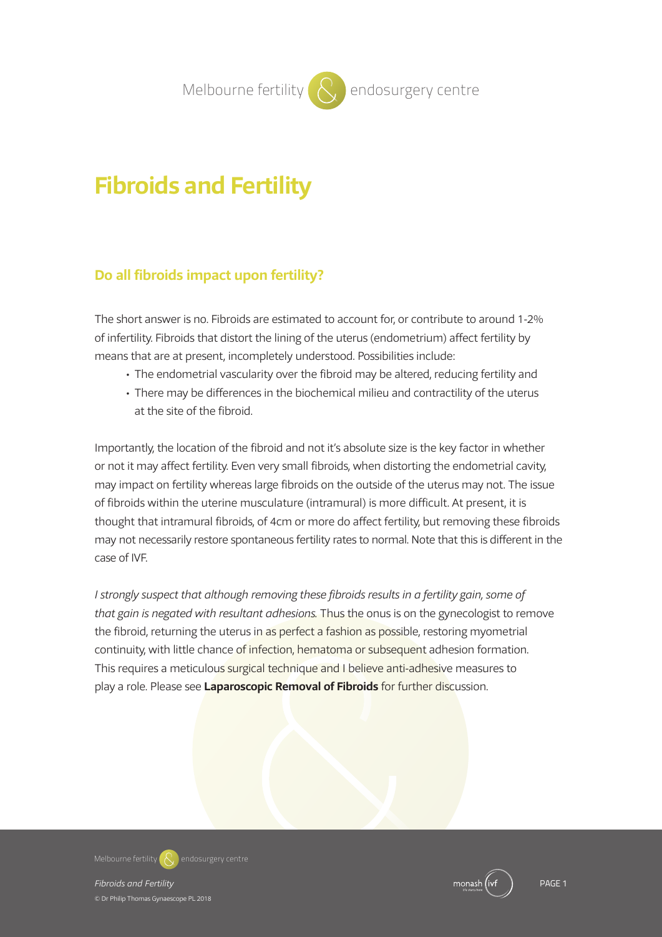# **Melbourne fertility**  $\left\{\begin{matrix} \lambda \\ \lambda \end{matrix}\right\}$  endosurgery centre

# **Fibroids and Fertility**

## **Do all fibroids impact upon fertility?**

The short answer is no. Fibroids are estimated to account for, or contribute to around 1-2% of infertility. Fibroids that distort the lining of the uterus (endometrium) affect fertility by means that are at present, incompletely understood. Possibilities include:

- The endometrial vascularity over the fibroid may be altered, reducing fertility and
- There may be differences in the biochemical milieu and contractility of the uterus at the site of the fibroid.

Importantly, the location of the fibroid and not it's absolute size is the key factor in whether or not it may affect fertility. Even very small fibroids, when distorting the endometrial cavity, may impact on fertility whereas large fibroids on the outside of the uterus may not. The issue of fibroids within the uterine musculature (intramural) is more difficult. At present, it is thought that intramural fibroids, of 4cm or more do affect fertility, but removing these fibroids may not necessarily restore spontaneous fertility rates to normal. Note that this is different in the case of IVF.

*I strongly suspect that although removing these fibroids results in a fertility gain, some of that gain is negated with resultant adhesions.* Thus the onus is on the gynecologist to remove the fibroid, returning the uterus in as perfect a fashion as possible, restoring myometrial continuity, with little chance of infection, hematoma or subsequent adhesion formation. This requires a meticulous surgical technique and I believe anti-adhesive measures to play a role. Please see **Laparoscopic Removal of Fibroids** for further discussion.

**Melbourne fertility endosurgery centre**

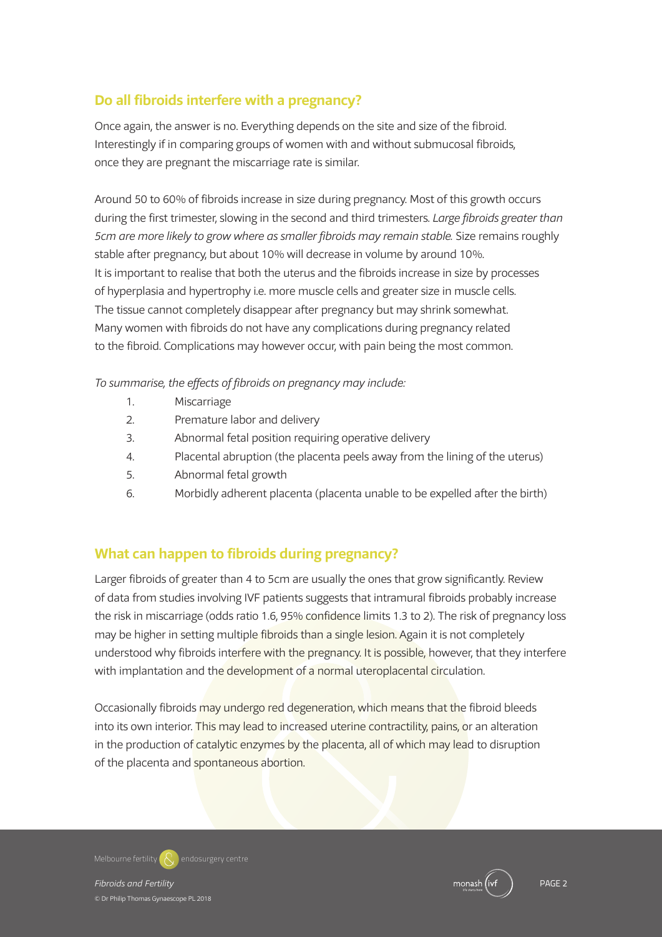# **Do all fibroids interfere with a pregnancy?**

Once again, the answer is no. Everything depends on the site and size of the fibroid. Interestingly if in comparing groups of women with and without submucosal fibroids, once they are pregnant the miscarriage rate is similar.

Around 50 to 60% of fibroids increase in size during pregnancy. Most of this growth occurs during the first trimester, slowing in the second and third trimesters. *Large fibroids greater than 5cm are more likely to grow where as smaller fibroids may remain stable.* Size remains roughly stable after pregnancy, but about 10% will decrease in volume by around 10%. It is important to realise that both the uterus and the fibroids increase in size by processes of hyperplasia and hypertrophy i.e. more muscle cells and greater size in muscle cells. The tissue cannot completely disappear after pregnancy but may shrink somewhat. Many women with fibroids do not have any complications during pregnancy related to the fibroid. Complications may however occur, with pain being the most common.

#### *To summarise, the effects of fibroids on pregnancy may include:*

- 1. Miscarriage
- 2. Premature labor and delivery
- 3. Abnormal fetal position requiring operative delivery
- 4. Placental abruption (the placenta peels away from the lining of the uterus)
- 5. Abnormal fetal growth
- 6. Morbidly adherent placenta (placenta unable to be expelled after the birth)

## **What can happen to fibroids during pregnancy?**

Larger fibroids of greater than 4 to 5cm are usually the ones that grow significantly. Review of data from studies involving IVF patients suggests that intramural fibroids probably increase the risk in miscarriage (odds ratio 1.6, 95% confidence limits 1.3 to 2). The risk of pregnancy loss may be higher in setting multiple fibroids than a single lesion. Again it is not completely understood why fibroids interfere with the pregnancy. It is possible, however, that they interfere with implantation and the development of a normal uteroplacental circulation.

Occasionally fibroids may undergo red degeneration, which means that the fibroid bleeds into its own interior. This may lead to increased uterine contractility, pains, or an alteration in the production of catalytic enzymes by the placenta, all of which may lead to disruption of the placenta and spontaneous abortion.

**Melbourne fertility endosurgery centre**

*Fibroids and Fertility* PAGE 2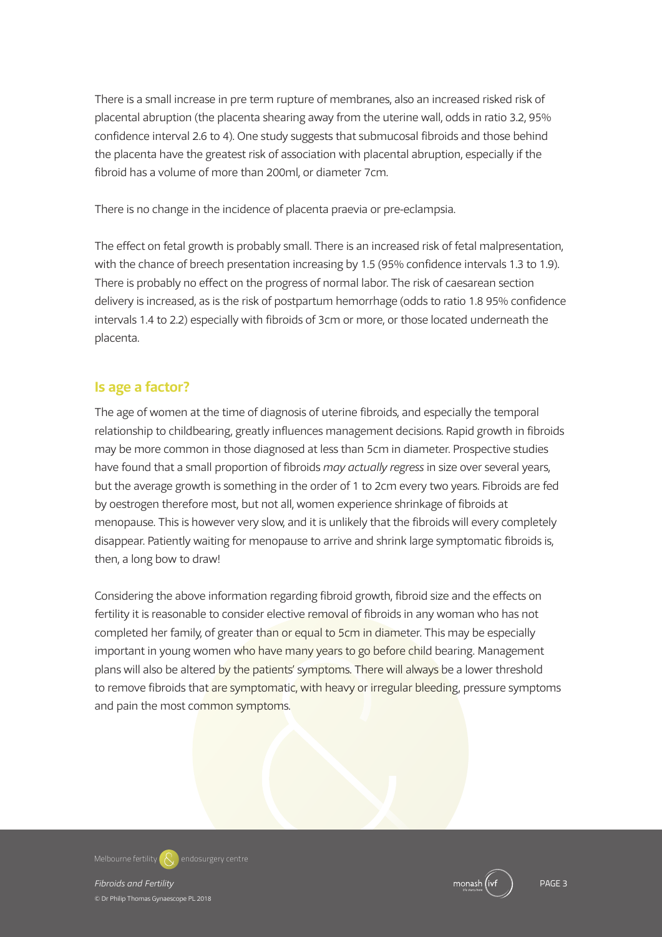There is a small increase in pre term rupture of membranes, also an increased risked risk of placental abruption (the placenta shearing away from the uterine wall, odds in ratio 3.2, 95% confidence interval 2.6 to 4). One study suggests that submucosal fibroids and those behind the placenta have the greatest risk of association with placental abruption, especially if the fibroid has a volume of more than 200ml, or diameter 7cm.

There is no change in the incidence of placenta praevia or pre-eclampsia.

The effect on fetal growth is probably small. There is an increased risk of fetal malpresentation, with the chance of breech presentation increasing by 1.5 (95% confidence intervals 1.3 to 1.9). There is probably no effect on the progress of normal labor. The risk of caesarean section delivery is increased, as is the risk of postpartum hemorrhage (odds to ratio 1.8 95% confidence intervals 1.4 to 2.2) especially with fibroids of 3cm or more, or those located underneath the placenta.

## **Is age a factor?**

The age of women at the time of diagnosis of uterine fibroids, and especially the temporal relationship to childbearing, greatly influences management decisions. Rapid growth in fibroids may be more common in those diagnosed at less than 5cm in diameter. Prospective studies have found that a small proportion of fibroids *may actually regress* in size over several years, but the average growth is something in the order of 1 to 2cm every two years. Fibroids are fed by oestrogen therefore most, but not all, women experience shrinkage of fibroids at menopause. This is however very slow, and it is unlikely that the fibroids will every completely disappear. Patiently waiting for menopause to arrive and shrink large symptomatic fibroids is, then, a long bow to draw!

Considering the above information regarding fibroid growth, fibroid size and the effects on fertility it is reasonable to consider elective removal of fibroids in any woman who has not completed her family, of greater than or equal to 5cm in diameter. This may be especially important in young women who have many years to go before child bearing. Management plans will also be altered by the patients' symptoms. There will always be a lower threshold to remove fibroids that are symptomatic, with heavy or irregular bleeding, pressure symptoms and pain the most common symptoms.

**Melbourne fertility endosurgery centre**

© Dr Philip Thomas Gynaescope PL 2018

*Fibroids and Fertility* PAGE 3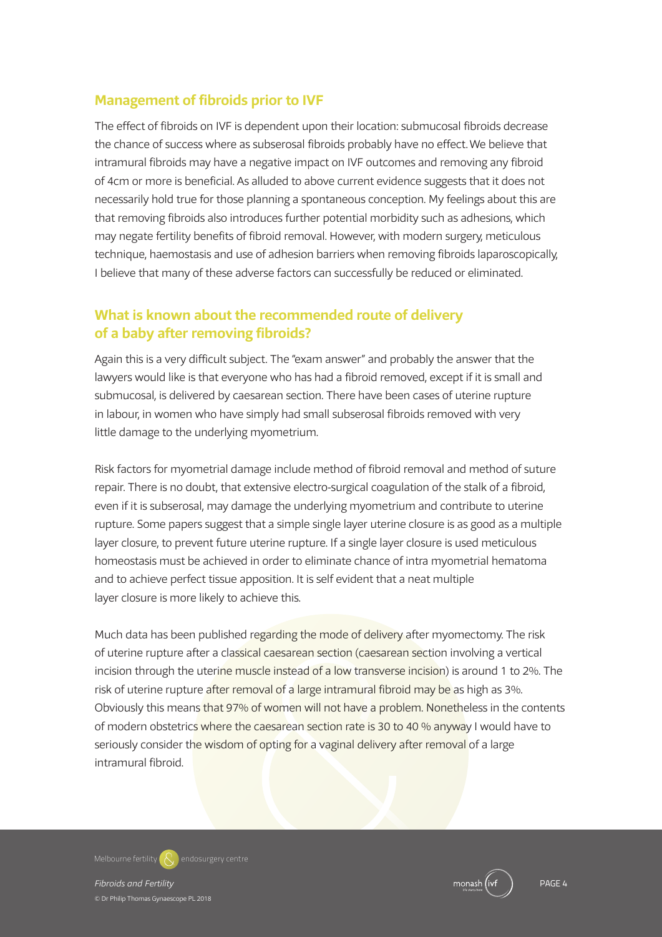## **Management of fibroids prior to IVF**

The effect of fibroids on IVF is dependent upon their location: submucosal fibroids decrease the chance of success where as subserosal fibroids probably have no effect.We believe that intramural fibroids may have a negative impact on IVF outcomes and removing any fibroid of 4cm or more is beneficial. As alluded to above current evidence suggests that it does not necessarily hold true for those planning a spontaneous conception. My feelings about this are that removing fibroids also introduces further potential morbidity such as adhesions, which may negate fertility benefits of fibroid removal. However, with modern surgery, meticulous technique, haemostasis and use of adhesion barriers when removing fibroids laparoscopically, I believe that many of these adverse factors can successfully be reduced or eliminated.

## **What is known about the recommended route of delivery of a baby after removing fibroids?**

Again this is a very difficult subject. The "exam answer" and probably the answer that the lawyers would like is that everyone who has had a fibroid removed, except if it is small and submucosal, is delivered by caesarean section. There have been cases of uterine rupture in labour, in women who have simply had small subserosal fibroids removed with very little damage to the underlying myometrium.

Risk factors for myometrial damage include method of fibroid removal and method of suture repair. There is no doubt, that extensive electro-surgical coagulation of the stalk of a fibroid, even if it is subserosal, may damage the underlying myometrium and contribute to uterine rupture. Some papers suggest that a simple single layer uterine closure is as good as a multiple layer closure, to prevent future uterine rupture. If a single layer closure is used meticulous homeostasis must be achieved in order to eliminate chance of intra myometrial hematoma and to achieve perfect tissue apposition. It is self evident that a neat multiple layer closure is more likely to achieve this.

Much data has been published regarding the mode of delivery after myomectomy. The risk of uterine rupture after a classical caesarean section (caesarean section involving a vertical incision through the uterine muscle instead of a low transverse incision) is around 1 to 2%. The risk of uterine rupture after removal of a large intramural fibroid may be as high as 3%. Obviously this means that 97% of women will not have a problem. Nonetheless in the contents of modern obstetrics where the caesarean section rate is 30 to 40 % anyway I would have to seriously consider the wisdom of opting for a vaginal delivery after removal of a large intramural fibroid.

**Melbourne fertility endosurgery centre**